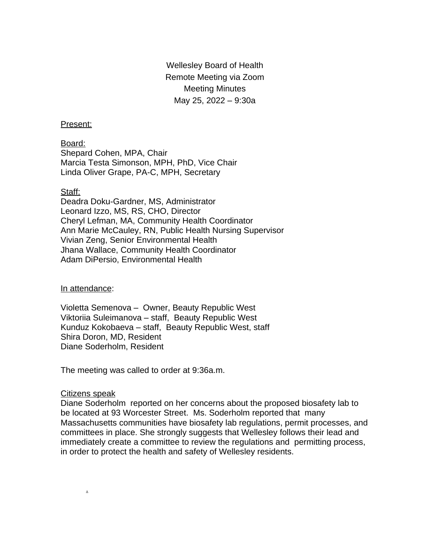Wellesley Board of Health Remote Meeting via Zoom Meeting Minutes May 25, 2022 – 9:30a

#### Present:

Board: Shepard Cohen, MPA, Chair Marcia Testa Simonson, MPH, PhD, Vice Chair Linda Oliver Grape, PA-C, MPH, Secretary

#### Staff:

Deadra Doku-Gardner, MS, Administrator Leonard Izzo, MS, RS, CHO, Director Cheryl Lefman, MA, Community Health Coordinator Ann Marie McCauley, RN, Public Health Nursing Supervisor Vivian Zeng, Senior Environmental Health Jhana Wallace, Community Health Coordinator Adam DiPersio, Environmental Health

In attendance:

Violetta Semenova – Owner, Beauty Republic West Viktoriia Suleimanova – staff, Beauty Republic West Kunduz Kokobaeva – staff, Beauty Republic West, staff Shira Doron, MD, Resident Diane Soderholm, Resident

The meeting was called to order at 9:36a.m.

#### Citizens speak

.

Diane Soderholm reported on her concerns about the proposed biosafety lab to be located at 93 Worcester Street. Ms. Soderholm reported that many Massachusetts communities have biosafety lab regulations, permit processes, and committees in place. She strongly suggests that Wellesley follows their lead and immediately create a committee to review the regulations and permitting process, in order to protect the health and safety of Wellesley residents.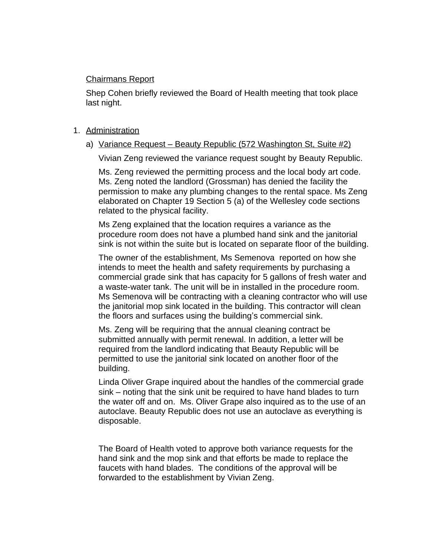## Chairmans Report

Shep Cohen briefly reviewed the Board of Health meeting that took place last night.

## 1. Administration

a) Variance Request – Beauty Republic (572 Washington St, Suite #2)

Vivian Zeng reviewed the variance request sought by Beauty Republic.

Ms. Zeng reviewed the permitting process and the local body art code. Ms. Zeng noted the landlord (Grossman) has denied the facility the permission to make any plumbing changes to the rental space. Ms Zeng elaborated on Chapter 19 Section 5 (a) of the Wellesley code sections related to the physical facility.

Ms Zeng explained that the location requires a variance as the procedure room does not have a plumbed hand sink and the janitorial sink is not within the suite but is located on separate floor of the building.

The owner of the establishment, Ms Semenova reported on how she intends to meet the health and safety requirements by purchasing a commercial grade sink that has capacity for 5 gallons of fresh water and a waste-water tank. The unit will be in installed in the procedure room. Ms Semenova will be contracting with a cleaning contractor who will use the janitorial mop sink located in the building. This contractor will clean the floors and surfaces using the building's commercial sink.

Ms. Zeng will be requiring that the annual cleaning contract be submitted annually with permit renewal. In addition, a letter will be required from the landlord indicating that Beauty Republic will be permitted to use the janitorial sink located on another floor of the building.

Linda Oliver Grape inquired about the handles of the commercial grade sink – noting that the sink unit be required to have hand blades to turn the water off and on. Ms. Oliver Grape also inquired as to the use of an autoclave. Beauty Republic does not use an autoclave as everything is disposable.

The Board of Health voted to approve both variance requests for the hand sink and the mop sink and that efforts be made to replace the faucets with hand blades. The conditions of the approval will be forwarded to the establishment by Vivian Zeng.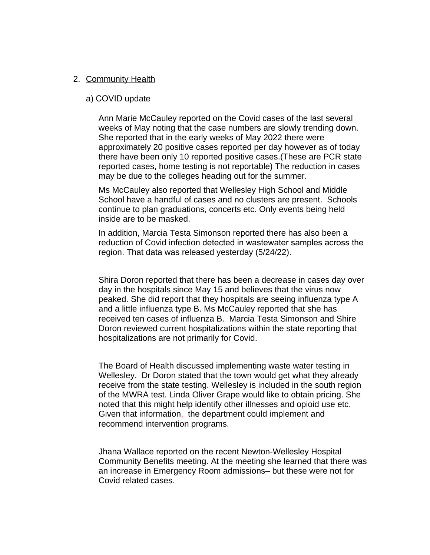## 2. Community Health

#### a) COVID update

Ann Marie McCauley reported on the Covid cases of the last several weeks of May noting that the case numbers are slowly trending down. She reported that in the early weeks of May 2022 there were approximately 20 positive cases reported per day however as of today there have been only 10 reported positive cases.(These are PCR state reported cases, home testing is not reportable) The reduction in cases may be due to the colleges heading out for the summer.

Ms McCauley also reported that Wellesley High School and Middle School have a handful of cases and no clusters are present. Schools continue to plan graduations, concerts etc. Only events being held inside are to be masked.

In addition, Marcia Testa Simonson reported there has also been a reduction of Covid infection detected in wastewater samples across the region. That data was released yesterday (5/24/22).

Shira Doron reported that there has been a decrease in cases day over day in the hospitals since May 15 and believes that the virus now peaked. She did report that they hospitals are seeing influenza type A and a little influenza type B. Ms McCauley reported that she has received ten cases of influenza B. Marcia Testa Simonson and Shire Doron reviewed current hospitalizations within the state reporting that hospitalizations are not primarily for Covid.

The Board of Health discussed implementing waste water testing in Wellesley. Dr Doron stated that the town would get what they already receive from the state testing. Wellesley is included in the south region of the MWRA test. Linda Oliver Grape would like to obtain pricing. She noted that this might help identify other illnesses and opioid use etc. Given that information, the department could implement and recommend intervention programs.

Jhana Wallace reported on the recent Newton-Wellesley Hospital Community Benefits meeting. At the meeting she learned that there was an increase in Emergency Room admissions– but these were not for Covid related cases.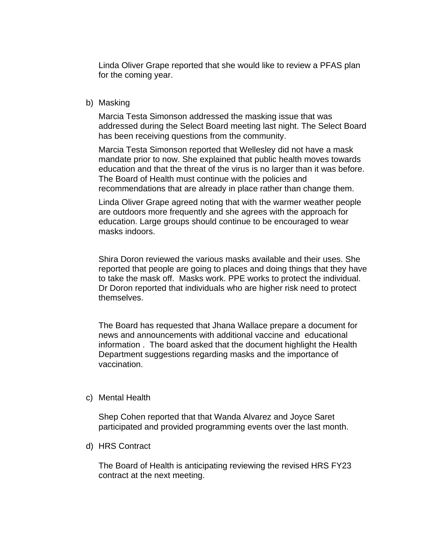Linda Oliver Grape reported that she would like to review a PFAS plan for the coming year.

## b) Masking

Marcia Testa Simonson addressed the masking issue that was addressed during the Select Board meeting last night. The Select Board has been receiving questions from the community.

Marcia Testa Simonson reported that Wellesley did not have a mask mandate prior to now. She explained that public health moves towards education and that the threat of the virus is no larger than it was before. The Board of Health must continue with the policies and recommendations that are already in place rather than change them.

Linda Oliver Grape agreed noting that with the warmer weather people are outdoors more frequently and she agrees with the approach for education. Large groups should continue to be encouraged to wear masks indoors.

Shira Doron reviewed the various masks available and their uses. She reported that people are going to places and doing things that they have to take the mask off. Masks work. PPE works to protect the individual. Dr Doron reported that individuals who are higher risk need to protect themselves.

The Board has requested that Jhana Wallace prepare a document for news and announcements with additional vaccine and educational information . The board asked that the document highlight the Health Department suggestions regarding masks and the importance of vaccination.

## c) Mental Health

Shep Cohen reported that that Wanda Alvarez and Joyce Saret participated and provided programming events over the last month.

## d) HRS Contract

The Board of Health is anticipating reviewing the revised HRS FY23 contract at the next meeting.